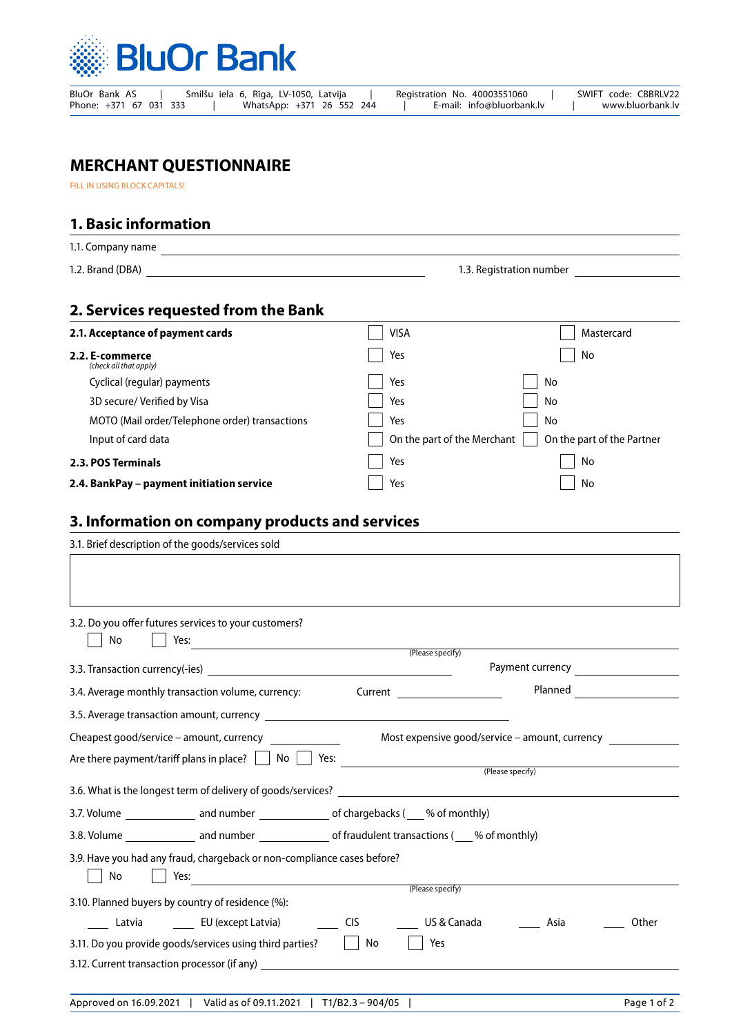

| BluOr Bank AS          | Smilšu iela 6, Rīga, LV-1050, Latvija | Registration No. 40003551060 | SWIFT code: CBBRLV22 |
|------------------------|---------------------------------------|------------------------------|----------------------|
| Phone: +371 67 031 333 | WhatsApp: +371 26 552 244             | E-mail: info@bluorbank.lv    | www.bluorbank.lv     |

## **MERCHANT QUESTIONNAIRE**

FILL IN USING BLOCK CAPITALS!

1.1. Company name

## **1. Basic information**

| 1.2. Brand (DBA) | 1.3. Registration number |
|------------------|--------------------------|

## **2. Services requested from the Bank**

| 2.1. Acceptance of payment cards               | <b>VISA</b>                 | Mastercard                 |
|------------------------------------------------|-----------------------------|----------------------------|
| 2.2. E-commerce<br>(check all that apply)      | Yes                         | No                         |
| Cyclical (regular) payments                    | Yes                         | No                         |
| 3D secure/ Verified by Visa                    | Yes                         | No                         |
| MOTO (Mail order/Telephone order) transactions | Yes                         | No                         |
| Input of card data                             | On the part of the Merchant | On the part of the Partner |
| 2.3. POS Terminals                             | Yes                         | No                         |
| 2.4. BankPay - payment initiation service      | Yes                         | No                         |

## **3. Information on company products and services**

| 3.1. Brief description of the goods/services sold                                                      |                  |                                                |                                             |
|--------------------------------------------------------------------------------------------------------|------------------|------------------------------------------------|---------------------------------------------|
|                                                                                                        |                  |                                                |                                             |
|                                                                                                        |                  |                                                |                                             |
| 3.2. Do you offer futures services to your customers?<br>No                                            |                  |                                                |                                             |
|                                                                                                        | (Please specify) |                                                |                                             |
|                                                                                                        |                  |                                                |                                             |
| 3.4. Average monthly transaction volume, currency:                                                     |                  | Planned                                        | <u> 1990 - Jan Barat, politik politik (</u> |
|                                                                                                        |                  |                                                |                                             |
| Cheapest good/service – amount, currency                                                               |                  | Most expensive good/service - amount, currency |                                             |
|                                                                                                        |                  |                                                |                                             |
|                                                                                                        |                  | (Please specify)                               |                                             |
|                                                                                                        |                  |                                                |                                             |
| 3.7. Volume ________________ and number _______________ of chargebacks (____% of monthly)              |                  |                                                |                                             |
| 3.8. Volume ________________ and number ________________ of fraudulent transactions (____% of monthly) |                  |                                                |                                             |
| 3.9. Have you had any fraud, chargeback or non-compliance cases before?<br>No<br>Yes:                  |                  |                                                |                                             |
| 3.10. Planned buyers by country of residence (%):                                                      | (Please specify) |                                                |                                             |
|                                                                                                        |                  |                                                |                                             |
| Latvia Latvia EU (except Latvia) Latvia CIS                                                            | US & Canada      | Asia                                           | Other                                       |
| 3.11. Do you provide goods/services using third parties?   No                                          | Yes              |                                                |                                             |
| 3.12. Current transaction processor (if any)                                                           |                  |                                                |                                             |
|                                                                                                        |                  |                                                |                                             |